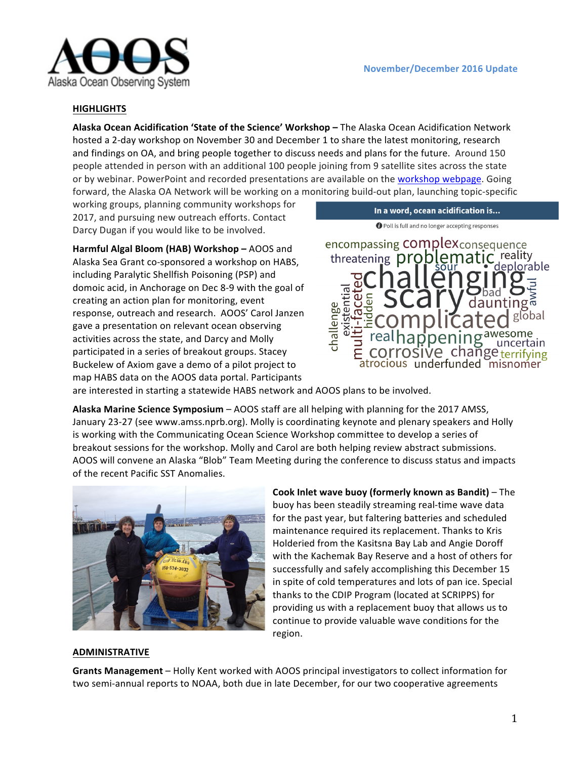

#### **HIGHLIGHTS**

**Alaska Ocean Acidification 'State of the Science' Workshop - The Alaska Ocean Acidification Network** hosted a 2-day workshop on November 30 and December 1 to share the latest monitoring, research and findings on OA, and bring people together to discuss needs and plans for the future. Around 150 people attended in person with an additional 100 people joining from 9 satellite sites across the state or by webinar. PowerPoint and recorded presentations are available on the workshop webpage. Going forward, the Alaska OA Network will be working on a monitoring build-out plan, launching topic-specific

working groups, planning community workshops for 2017, and pursuing new outreach efforts. Contact Darcy Dugan if you would like to be involved.

**Harmful Algal Bloom (HAB) Workshop - AOOS and** Alaska Sea Grant co-sponsored a workshop on HABS, including Paralytic Shellfish Poisoning (PSP) and domoic acid, in Anchorage on Dec 8-9 with the goal of creating an action plan for monitoring, event response, outreach and research. AOOS' Carol Janzen gave a presentation on relevant ocean observing activities across the state, and Darcy and Molly participated in a series of breakout groups. Stacey Buckelew of Axiom gave a demo of a pilot project to map HABS data on the AOOS data portal. Participants



In a word, ocean acidification is...

are interested in starting a statewide HABS network and AOOS plans to be involved.

**Alaska Marine Science Symposium** – AOOS staff are all helping with planning for the 2017 AMSS, January 23-27 (see www.amss.nprb.org). Molly is coordinating keynote and plenary speakers and Holly is working with the Communicating Ocean Science Workshop committee to develop a series of breakout sessions for the workshop. Molly and Carol are both helping review abstract submissions. AOOS will convene an Alaska "Blob" Team Meeting during the conference to discuss status and impacts of the recent Pacific SST Anomalies.



**Cook Inlet wave buoy (formerly known as Bandit)** – The buoy has been steadily streaming real-time wave data for the past year, but faltering batteries and scheduled maintenance required its replacement. Thanks to Kris Holderied from the Kasitsna Bay Lab and Angie Doroff with the Kachemak Bay Reserve and a host of others for successfully and safely accomplishing this December 15 in spite of cold temperatures and lots of pan ice. Special thanks to the CDIP Program (located at SCRIPPS) for providing us with a replacement buoy that allows us to continue to provide valuable wave conditions for the region.

#### **ADMINISTRATIVE**

**Grants Management** – Holly Kent worked with AOOS principal investigators to collect information for two semi-annual reports to NOAA, both due in late December, for our two cooperative agreements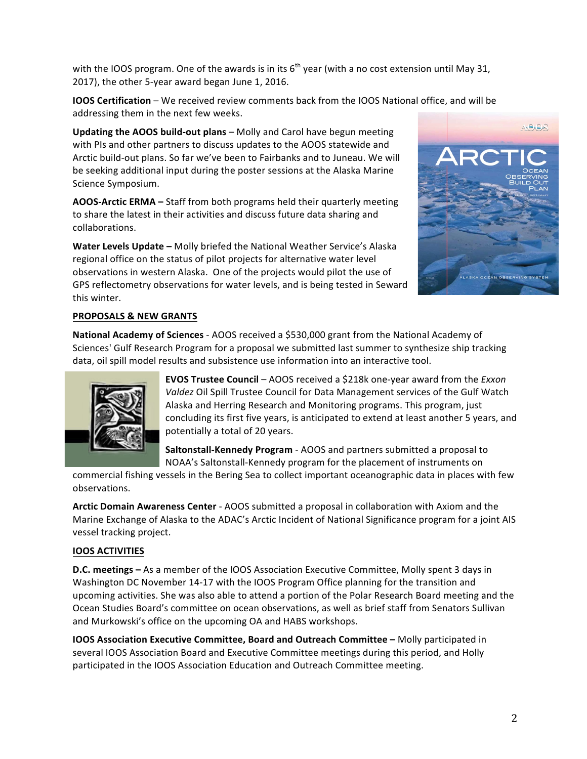with the IOOS program. One of the awards is in its  $6<sup>th</sup>$  year (with a no cost extension until May 31, 2017), the other 5-year award began June 1, 2016.

**IOOS Certification** – We received review comments back from the IOOS National office, and will be addressing them in the next few weeks.

**Updating the AOOS build-out plans** – Molly and Carol have begun meeting with PIs and other partners to discuss updates to the AOOS statewide and Arctic build-out plans. So far we've been to Fairbanks and to Juneau. We will be seeking additional input during the poster sessions at the Alaska Marine Science Symposium.

**AOOS-Arctic ERMA** – Staff from both programs held their quarterly meeting to share the latest in their activities and discuss future data sharing and collaborations.

**Water Levels Update -** Molly briefed the National Weather Service's Alaska regional office on the status of pilot projects for alternative water level observations in western Alaska. One of the projects would pilot the use of GPS reflectometry observations for water levels, and is being tested in Seward this winter.



# **PROPOSALS & NEW GRANTS**

**National Academy of Sciences** - AOOS received a \$530,000 grant from the National Academy of Sciences' Gulf Research Program for a proposal we submitted last summer to synthesize ship tracking data, oil spill model results and subsistence use information into an interactive tool.



**EVOS Trustee Council** – AOOS received a \$218k one-year award from the *Exxon Valdez* Oil Spill Trustee Council for Data Management services of the Gulf Watch Alaska and Herring Research and Monitoring programs. This program, just concluding its first five years, is anticipated to extend at least another 5 years, and potentially a total of 20 years.

**Saltonstall-Kennedy Program** - AOOS and partners submitted a proposal to NOAA's Saltonstall-Kennedy program for the placement of instruments on

commercial fishing vessels in the Bering Sea to collect important oceanographic data in places with few observations. 

Arctic Domain Awareness Center - AOOS submitted a proposal in collaboration with Axiom and the Marine Exchange of Alaska to the ADAC's Arctic Incident of National Significance program for a joint AIS vessel tracking project.

## **IOOS ACTIVITIES**

**D.C. meetings** - As a member of the IOOS Association Executive Committee, Molly spent 3 days in Washington DC November 14-17 with the IOOS Program Office planning for the transition and upcoming activities. She was also able to attend a portion of the Polar Research Board meeting and the Ocean Studies Board's committee on ocean observations, as well as brief staff from Senators Sullivan and Murkowski's office on the upcoming OA and HABS workshops.

**IOOS** Association Executive Committee, Board and Outreach Committee – Molly participated in several IOOS Association Board and Executive Committee meetings during this period, and Holly participated in the IOOS Association Education and Outreach Committee meeting.